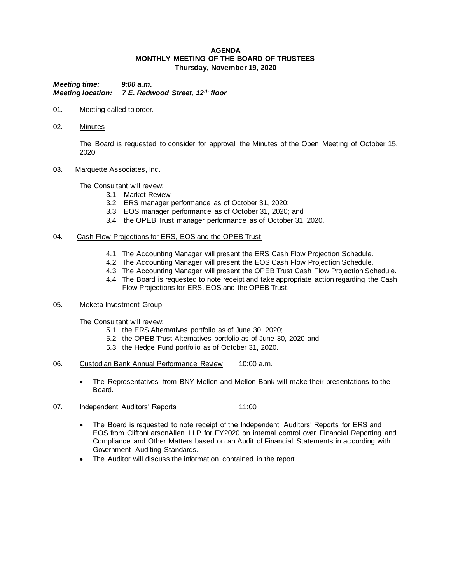### **AGENDA MONTHLY MEETING OF THE BOARD OF TRUSTEES Thursday, November 19, 2020**

*Meeting time: 9:00 a.m. Meeting location: 7 E. Redwood Street, 12th floor*

- 01. Meeting called to order.
- 02. Minutes

The Board is requested to consider for approval the Minutes of the Open Meeting of October 15, 2020.

03. Marquette Associates, Inc.

The Consultant will review:

- 3.1 Market Review
- 3.2 ERS manager performance as of October 31, 2020;
- 3.3 EOS manager performance as of October 31, 2020; and
- 3.4 the OPEB Trust manager performance as of October 31, 2020.

# 04. Cash Flow Projections for ERS, EOS and the OPEB Trust

- 4.1 The Accounting Manager will present the ERS Cash Flow Projection Schedule.
- 4.2 The Accounting Manager will present the EOS Cash Flow Projection Schedule.
- 4.3 The Accounting Manager will present the OPEB Trust Cash Flow Projection Schedule.
- 4.4 The Board is requested to note receipt and take appropriate action regarding the Cash Flow Projections for ERS, EOS and the OPEB Trust.

# 05. Meketa Investment Group

The Consultant will review:

- 5.1 the ERS Alternatives portfolio as of June 30, 2020;
- 5.2 the OPEB Trust Alternatives portfolio as of June 30, 2020 and
- 5.3 the Hedge Fund portfolio as of October 31, 2020.
- 06. Custodian Bank Annual Performance Review 10:00 a.m.
	- The Representatives from BNY Mellon and Mellon Bank will make their presentations to the Board.
- 07. Independent Auditors' Reports 11:00
	- The Board is requested to note receipt of the Independent Auditors' Reports for ERS and EOS from CliftonLarsonAllen LLP for FY2020 on internal control over Financial Reporting and Compliance and Other Matters based on an Audit of Financial Statements in ac cording with Government Auditing Standards.
	- The Auditor will discuss the information contained in the report.